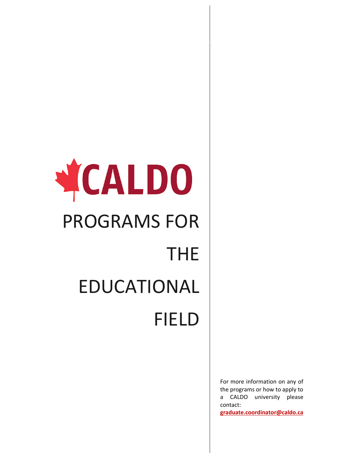## YCALDO PROGRAMS FOR THE EDUCATIONAL FIELD

For more information on any of the programs or how to apply to a CALDO university please contact: **[graduate.coordinator@caldo.ca](mailto:graduate.coordinator@caldo.ca)**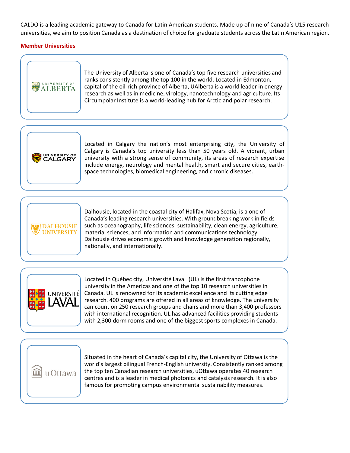CALDO is a leading academic gateway to Canada for Latin American students. Made up of nine of Canada's U15 research universities, we aim to position Canada as a destination of choice for graduate students across the Latin American region.

## **Member Universities**



The University of Alberta is one of Canada's top five research universities and ranks consistently among the top 100 in the world. Located in Edmonton, capital of the oil-rich province of Alberta, UAlberta is a world leader in energy research as well as in medicine, virology, nanotechnology and agriculture. Its Circumpolar Institute is a world-leading hub for Arctic and polar research.



Located in Calgary the nation's most enterprising city, the University of Calgary is Canada's top university less than 50 years old. A vibrant, urban university with a strong sense of community, its areas of research expertise include energy, neurology and mental health, smart and secure cities, earthspace technologies, biomedical engineering, and chronic diseases.



Dalhousie, located in the coastal city of Halifax, Nova Scotia, is a one of Canada's leading research universities. With groundbreaking work in fields such as oceanography, life sciences, sustainability, clean energy, agriculture, material sciences, and information and communications technology, Dalhousie drives economic growth and knowledge generation regionally, nationally, and internationally.



Located in Québec city, Université Laval (UL) is the first francophone university in the Americas and one of the top 10 research universities in Canada. UL is renowned for its academic excellence and its cutting edge research. 400 programs are offered in all areas of knowledge. The university can count on 250 research groups and chairs and more than 3,400 professors with international recognition. UL has advanced facilities providing students with 2,300 dorm rooms and one of the biggest sports complexes in Canada.



Situated in the heart of Canada's capital city, the University of Ottawa is the world's largest bilingual French-English university. Consistently ranked among the top ten Canadian research universities, uOttawa operates 40 research centres and is a leader in medical photonics and catalysis research. It is also famous for promoting campus environmental sustainability measures.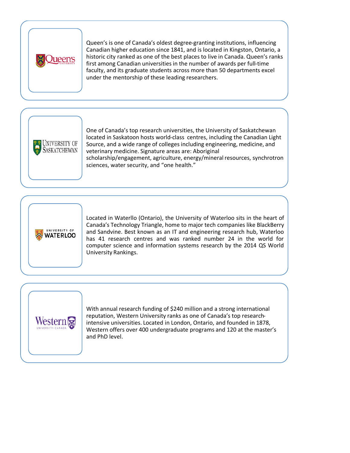

Queen's is one of Canada's oldest degree-granting institutions, influencing Canadian higher education since 1841, and is located in Kingston, Ontario, a historic city ranked as one of the best places to live in Canada. Queen's ranks first among Canadian universities in the number of awards per full-time faculty, and its graduate students across more than 50 departments excel under the mentorship of these leading researchers.



One of Canada's top research universities, the University of Saskatchewan located in Saskatoon hosts world-class centres, including the Canadian Light Source, and a wide range of colleges including engineering, medicine, and veterinary medicine. Signature areas are: Aboriginal scholarship/engagement, agriculture, energy/mineral resources, synchrotron sciences, water security, and "one health."



Located in Waterllo (Ontario), the University of Waterloo sits in the heart of Canada's Technology Triangle, home to major tech companies like BlackBerry and Sandvine. Best known as an IT and engineering research hub, Waterloo has 41 research centres and was ranked number 24 in the world for computer science and information systems research by the 2014 QS World University Rankings.



With annual research funding of \$240 million and a strong international reputation, Western University ranks as one of Canada's top researchintensive universities. Located in London, Ontario, and founded in 1878, Western offers over 400 undergraduate programs and 120 at the master's and PhD level.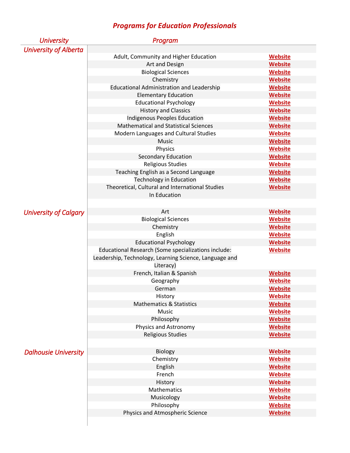## *Programs for Education Professionals*

| <b>University</b>            | Program                                                |                |
|------------------------------|--------------------------------------------------------|----------------|
| <b>University of Alberta</b> |                                                        |                |
|                              | Adult, Community and Higher Education                  | <b>Website</b> |
|                              | Art and Design                                         | <b>Website</b> |
|                              | <b>Biological Sciences</b>                             | <b>Website</b> |
|                              | Chemistry                                              | <b>Website</b> |
|                              | <b>Educational Administration and Leadership</b>       | <b>Website</b> |
|                              | <b>Elementary Education</b>                            | <b>Website</b> |
|                              | <b>Educational Psychology</b>                          | <b>Website</b> |
|                              | <b>History and Classics</b>                            | <b>Website</b> |
|                              | Indigenous Peoples Education                           | <b>Website</b> |
|                              | <b>Mathematical and Statistical Sciences</b>           | <b>Website</b> |
|                              | Modern Languages and Cultural Studies                  | <b>Website</b> |
|                              | <b>Music</b>                                           | <b>Website</b> |
|                              | Physics                                                | <b>Website</b> |
|                              | <b>Secondary Education</b>                             | <b>Website</b> |
|                              | <b>Religious Studies</b>                               | <b>Website</b> |
|                              | Teaching English as a Second Language                  | <b>Website</b> |
|                              | <b>Technology in Education</b>                         | <b>Website</b> |
|                              | Theoretical, Cultural and International Studies        | <b>Website</b> |
|                              | In Education                                           |                |
|                              |                                                        |                |
| University of Calgary        | Art                                                    | <b>Website</b> |
|                              | <b>Biological Sciences</b>                             | <b>Website</b> |
|                              | Chemistry                                              | <b>Website</b> |
|                              | English                                                | <b>Website</b> |
|                              | <b>Educational Psychology</b>                          | <b>Website</b> |
|                              | Educational Research (Some specializations include:    | <b>Website</b> |
|                              | Leadership, Technology, Learning Science, Language and |                |
|                              | Literacy)                                              |                |
|                              | French, Italian & Spanish                              | <b>Website</b> |
|                              | Geography                                              | <b>Website</b> |
|                              | German                                                 | <b>Website</b> |
|                              | History                                                | <b>Website</b> |
|                              | <b>Mathematics &amp; Statistics</b>                    | <b>Website</b> |
|                              | Music                                                  | <b>Website</b> |
|                              | Philosophy                                             | <b>Website</b> |
|                              | Physics and Astronomy                                  | <b>Website</b> |
|                              | <b>Religious Studies</b>                               | <b>Website</b> |
|                              |                                                        |                |
| <b>Dalhousie University</b>  | <b>Biology</b>                                         | <b>Website</b> |
|                              | Chemistry                                              | <b>Website</b> |
|                              | English                                                | <b>Website</b> |
|                              | French                                                 | <b>Website</b> |
|                              | History                                                | <b>Website</b> |
|                              | Mathematics                                            | <b>Website</b> |
|                              | Musicology                                             | <b>Website</b> |
|                              | Philosophy                                             | <b>Website</b> |
|                              | Physics and Atmospheric Science                        | <b>Website</b> |
|                              |                                                        |                |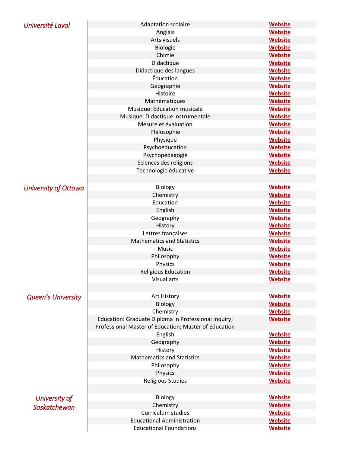| Université Laval          | <b>Adaptation scolaire</b>                            | <b>Website</b> |
|---------------------------|-------------------------------------------------------|----------------|
|                           | Anglais                                               | Website        |
|                           | Arts visuels                                          | <b>Website</b> |
|                           | <b>Biologie</b>                                       | <b>Website</b> |
|                           | Chimie                                                | <b>Website</b> |
|                           | Didactique                                            | <b>Website</b> |
|                           | Didactique des langues                                | <b>Website</b> |
|                           | Éducation                                             | <b>Website</b> |
|                           | Géographie                                            | <b>Website</b> |
|                           | <b>Histoire</b>                                       | <b>Website</b> |
|                           | Mathématiques                                         | <b>Website</b> |
|                           | Musique: Éducation musicale                           | <b>Website</b> |
|                           | Musique: Didactique instrumentale                     | <b>Website</b> |
|                           | Mesure et évaluation                                  | <b>Website</b> |
|                           | Philosophie                                           | <b>Website</b> |
|                           | Physique                                              | <b>Website</b> |
|                           | Psychoéducation                                       | <b>Website</b> |
|                           | Psychopédagogie                                       | <b>Website</b> |
|                           | Sciences des religions                                | <b>Website</b> |
|                           | Technologie éducative                                 | <b>Website</b> |
|                           |                                                       |                |
| University of Ottawa      | Biology                                               | <b>Website</b> |
|                           | Chemistry                                             | <b>Website</b> |
|                           | Education                                             | <b>Website</b> |
|                           | English                                               | <b>Website</b> |
|                           | Geography                                             | <b>Website</b> |
|                           | History                                               | <b>Website</b> |
|                           | Lettres françaises                                    | <b>Website</b> |
|                           | <b>Mathematics and Statistics</b>                     | <b>Website</b> |
|                           | Music                                                 | <b>Website</b> |
|                           | Philosophy                                            | <b>Website</b> |
|                           | Physics                                               | <b>Website</b> |
|                           | <b>Religious Education</b>                            | <b>Website</b> |
|                           | Visual arts                                           | <b>Website</b> |
|                           |                                                       |                |
| <b>Queen's University</b> | Art History                                           | <b>Website</b> |
|                           | Biology                                               | <b>Website</b> |
|                           | Chemistry                                             | <b>Website</b> |
|                           | Education: Graduate Diploma in Professional Inquiry;  | <b>Website</b> |
|                           | Professional Master of Education; Master of Education |                |
|                           | English                                               | <b>Website</b> |
|                           | Geography                                             | <b>Website</b> |
|                           | History                                               | <b>Website</b> |
|                           | <b>Mathematics and Statistics</b>                     | <b>Website</b> |
|                           | Philosophy                                            | <b>Website</b> |
|                           | Physics                                               | <b>Website</b> |
|                           | <b>Religious Studies</b>                              | <b>Website</b> |
|                           |                                                       |                |
| University of             | Biology                                               | <b>Website</b> |
|                           | Chemistry                                             | <b>Website</b> |
| Saskatchewan              | Curriculum studies                                    | <b>Website</b> |
|                           | <b>Educational Administration</b>                     | <b>Website</b> |
|                           | <b>Educational Foundations</b>                        | <b>Website</b> |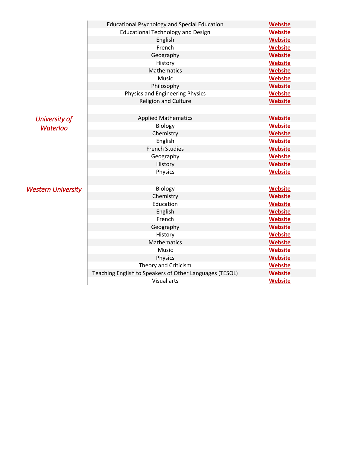|                                  | <b>Educational Psychology and Special Education</b>     | <b>Website</b> |
|----------------------------------|---------------------------------------------------------|----------------|
|                                  | <b>Educational Technology and Design</b>                | <b>Website</b> |
|                                  | English                                                 | <b>Website</b> |
|                                  | French                                                  | <b>Website</b> |
|                                  | Geography                                               | <b>Website</b> |
|                                  | History                                                 | <b>Website</b> |
|                                  | Mathematics                                             | <b>Website</b> |
|                                  | Music                                                   | <b>Website</b> |
|                                  | Philosophy                                              | <b>Website</b> |
|                                  | Physics and Engineering Physics                         | <b>Website</b> |
|                                  | <b>Religion and Culture</b>                             | <b>Website</b> |
|                                  |                                                         |                |
| University of<br><b>Waterloo</b> | <b>Applied Mathematics</b>                              | <b>Website</b> |
|                                  | Biology                                                 | <b>Website</b> |
|                                  | Chemistry                                               | <b>Website</b> |
|                                  | English                                                 | <b>Website</b> |
|                                  | <b>French Studies</b>                                   | <b>Website</b> |
|                                  | Geography                                               | <b>Website</b> |
|                                  | History                                                 | <b>Website</b> |
|                                  | Physics                                                 | <b>Website</b> |
|                                  |                                                         |                |
| <b>Western University</b>        | Biology                                                 | <b>Website</b> |
|                                  | Chemistry                                               | <b>Website</b> |
|                                  | Education                                               | <b>Website</b> |
|                                  | English                                                 | <b>Website</b> |
|                                  | French                                                  | <b>Website</b> |
|                                  | Geography                                               | <b>Website</b> |
|                                  | History                                                 | <b>Website</b> |
|                                  | <b>Mathematics</b>                                      | <b>Website</b> |
|                                  | Music                                                   | <b>Website</b> |
|                                  | Physics                                                 | <b>Website</b> |
|                                  | Theory and Criticism                                    | <b>Website</b> |
|                                  | Teaching English to Speakers of Other Languages (TESOL) | <b>Website</b> |
|                                  | Visual arts                                             | <b>Website</b> |